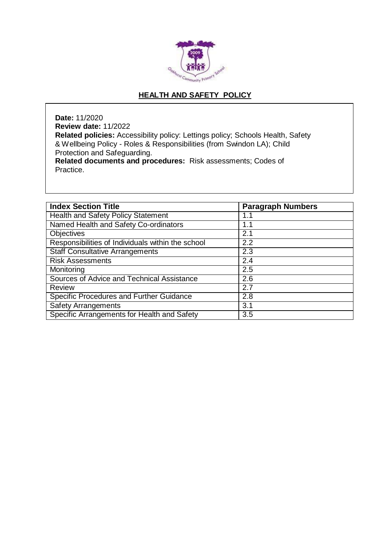

# **HEALTH AND SAFETY POLICY**

**Date:** 11/2020 **Review date:** 11/2022 **Related policies:** Accessibility policy: Lettings policy; Schools Health, Safety & Wellbeing Policy - Roles & Responsibilities (from Swindon LA); Child Protection and Safeguarding. **Related documents and procedures:** Risk assessments; Codes of Practice.

| <b>Index Section Title</b>                        | <b>Paragraph Numbers</b> |
|---------------------------------------------------|--------------------------|
| <b>Health and Safety Policy Statement</b>         | 1.1                      |
| Named Health and Safety Co-ordinators             | 1.1                      |
| Objectives                                        | 2.1                      |
| Responsibilities of Individuals within the school | $\overline{2.2}$         |
| <b>Staff Consultative Arrangements</b>            | 2.3                      |
| <b>Risk Assessments</b>                           | 2.4                      |
| Monitoring                                        | 2.5                      |
| Sources of Advice and Technical Assistance        | 2.6                      |
| <b>Review</b>                                     | 2.7                      |
| Specific Procedures and Further Guidance          | 2.8                      |
| <b>Safety Arrangements</b>                        | 3.1                      |
| Specific Arrangements for Health and Safety       | 3.5                      |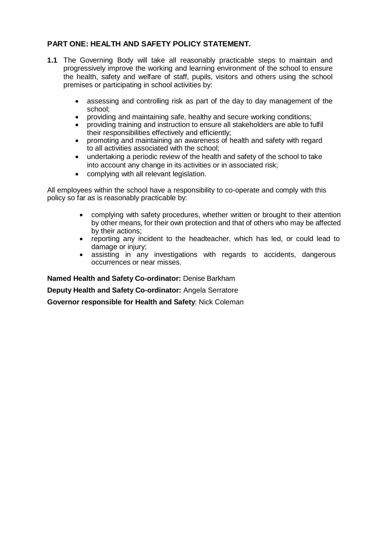## **PART ONE: HEALTH AND SAFETY POLICY STATEMENT.**

- **1.1** The Governing Body will take all reasonably practicable steps to maintain and progressively improve the working and learning environment of the school to ensure the health, safety and welfare of staff, pupils, visitors and others using the school premises or participating in school activities by:
	- assessing and controlling risk as part of the day to day management of the school;
	- providing and maintaining safe, healthy and secure working conditions;
	- providing training and instruction to ensure all stakeholders are able to fulfil their responsibilities effectively and efficiently;
	- promoting and maintaining an awareness of health and safety with regard to all activities associated with the school;
	- undertaking a periodic review of the health and safety of the school to take into account any change in its activities or in associated risk;
	- complying with all relevant legislation.

All employees within the school have a responsibility to co-operate and comply with this policy so far as is reasonably practicable by:

- complying with safety procedures, whether written or brought to their attention by other means, for their own protection and that of others who may be affected by their actions;
- reporting any incident to the headteacher, which has led, or could lead to damage or injury;
- assisting in any investigations with regards to accidents, dangerous occurrences or near misses.

**Named Health and Safety Co-ordinator:** Denise Barkham

**Deputy Health and Safety Co-ordinator:** Angela Serratore

**Governor responsible for Health and Safety**: Nick Coleman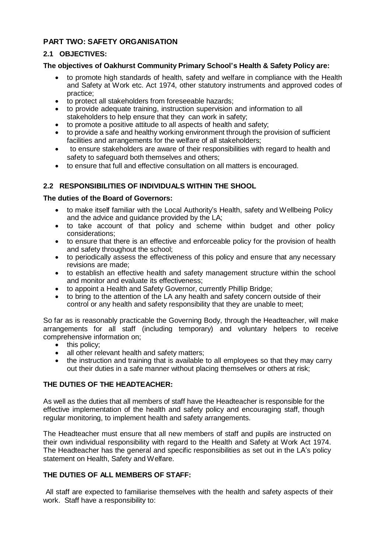## **PART TWO: SAFETY ORGANISATION**

#### **2.1 OBJECTIVES:**

#### **The objectives of Oakhurst Community Primary School's Health & Safety Policy are:**

- to promote high standards of health, safety and welfare in compliance with the Health and Safety at Work etc. Act 1974, other statutory instruments and approved codes of practice;
- to protect all stakeholders from foreseeable hazards;
- to provide adequate training, instruction supervision and information to all stakeholders to help ensure that they can work in safety;
- to promote a positive attitude to all aspects of health and safety;
- to provide a safe and healthy working environment through the provision of sufficient facilities and arrangements for the welfare of all stakeholders;
- to ensure stakeholders are aware of their responsibilities with regard to health and safety to safeguard both themselves and others;
- to ensure that full and effective consultation on all matters is encouraged.

## **2.2 RESPONSIBILITIES OF INDIVIDUALS WITHIN THE SHOOL**

#### **The duties of the Board of Governors:**

- to make itself familiar with the Local Authority's Health, safety and Wellbeing Policy and the advice and guidance provided by the LA;
- to take account of that policy and scheme within budget and other policy considerations;
- to ensure that there is an effective and enforceable policy for the provision of health and safety throughout the school;
- to periodically assess the effectiveness of this policy and ensure that any necessary revisions are made;
- to establish an effective health and safety management structure within the school and monitor and evaluate its effectiveness;
- to appoint a Health and Safety Governor, currently Phillip Bridge;
- to bring to the attention of the LA any health and safety concern outside of their control or any health and safety responsibility that they are unable to meet;

So far as is reasonably practicable the Governing Body, through the Headteacher, will make arrangements for all staff (including temporary) and voluntary helpers to receive comprehensive information on;

- this policy;
- all other relevant health and safety matters;
- the instruction and training that is available to all employees so that they may carry out their duties in a safe manner without placing themselves or others at risk;

#### **THE DUTIES OF THE HEADTEACHER:**

As well as the duties that all members of staff have the Headteacher is responsible for the effective implementation of the health and safety policy and encouraging staff, though regular monitoring, to implement health and safety arrangements.

The Headteacher must ensure that all new members of staff and pupils are instructed on their own individual responsibility with regard to the Health and Safety at Work Act 1974. The Headteacher has the general and specific responsibilities as set out in the LA's policy statement on Health, Safety and Welfare.

#### **THE DUTIES OF ALL MEMBERS OF STAFF:**

All staff are expected to familiarise themselves with the health and safety aspects of their work. Staff have a responsibility to: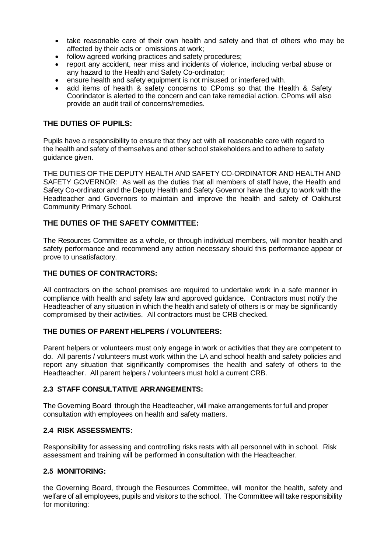- take reasonable care of their own health and safety and that of others who may be affected by their acts or omissions at work;
- follow agreed working practices and safety procedures;
- report any accident, near miss and incidents of violence, including verbal abuse or any hazard to the Health and Safety Co-ordinator;
- ensure health and safety equipment is not misused or interfered with.
- add items of health & safety concerns to CPoms so that the Health & Safety Coorindator is alerted to the concern and can take remedial action. CPoms will also provide an audit trail of concerns/remedies.

### **THE DUTIES OF PUPILS:**

Pupils have a responsibility to ensure that they act with all reasonable care with regard to the health and safety of themselves and other school stakeholders and to adhere to safety guidance given.

THE DUTIES OF THE DEPUTY HEALTH AND SAFETY CO-ORDINATOR AND HEALTH AND SAFETY GOVERNOR: As well as the duties that all members of staff have, the Health and Safety Co-ordinator and the Deputy Health and Safety Governor have the duty to work with the Headteacher and Governors to maintain and improve the health and safety of Oakhurst Community Primary School.

#### **THE DUTIES OF THE SAFETY COMMITTEE:**

The Resources Committee as a whole, or through individual members, will monitor health and safety performance and recommend any action necessary should this performance appear or prove to unsatisfactory.

#### **THE DUTIES OF CONTRACTORS:**

All contractors on the school premises are required to undertake work in a safe manner in compliance with health and safety law and approved guidance. Contractors must notify the Headteacher of any situation in which the health and safety of others is or may be significantly compromised by their activities. All contractors must be CRB checked.

#### **THE DUTIES OF PARENT HELPERS / VOLUNTEERS:**

Parent helpers or volunteers must only engage in work or activities that they are competent to do. All parents / volunteers must work within the LA and school health and safety policies and report any situation that significantly compromises the health and safety of others to the Headteacher. All parent helpers / volunteers must hold a current CRB.

#### **2.3 STAFF CONSULTATIVE ARRANGEMENTS:**

The Governing Board through the Headteacher, will make arrangements for full and proper consultation with employees on health and safety matters.

#### **2.4 RISK ASSESSMENTS:**

Responsibility for assessing and controlling risks rests with all personnel with in school. Risk assessment and training will be performed in consultation with the Headteacher.

#### **2.5 MONITORING:**

the Governing Board, through the Resources Committee, will monitor the health, safety and welfare of all employees, pupils and visitors to the school. The Committee will take responsibility for monitoring: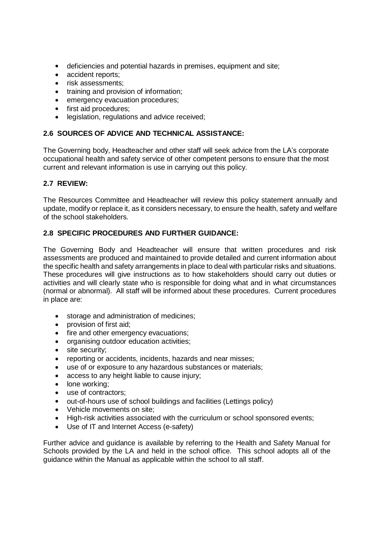- deficiencies and potential hazards in premises, equipment and site;
- accident reports;
- risk assessments;
- training and provision of information;
- emergency evacuation procedures;
- first aid procedures;
- legislation, regulations and advice received;

### **2.6 SOURCES OF ADVICE AND TECHNICAL ASSISTANCE:**

The Governing body, Headteacher and other staff will seek advice from the LA's corporate occupational health and safety service of other competent persons to ensure that the most current and relevant information is use in carrying out this policy.

### **2.7 REVIEW:**

The Resources Committee and Headteacher will review this policy statement annually and update, modify or replace it, as it considers necessary, to ensure the health, safety and welfare of the school stakeholders.

#### **2.8 SPECIFIC PROCEDURES AND FURTHER GUIDANCE:**

The Governing Body and Headteacher will ensure that written procedures and risk assessments are produced and maintained to provide detailed and current information about the specific health and safety arrangements in place to deal with particular risks and situations. These procedures will give instructions as to how stakeholders should carry out duties or activities and will clearly state who is responsible for doing what and in what circumstances (normal or abnormal). All staff will be informed about these procedures. Current procedures in place are:

- storage and administration of medicines;
- provision of first aid;
- fire and other emergency evacuations;
- organising outdoor education activities;
- site security:
- reporting or accidents, incidents, hazards and near misses;
- use of or exposure to any hazardous substances or materials;
- access to any height liable to cause injury;
- lone working;
- use of contractors:
- out-of-hours use of school buildings and facilities (Lettings policy)
- Vehicle movements on site;
- High-risk activities associated with the curriculum or school sponsored events;
- Use of IT and Internet Access (e-safety)

Further advice and guidance is available by referring to the Health and Safety Manual for Schools provided by the LA and held in the school office. This school adopts all of the guidance within the Manual as applicable within the school to all staff.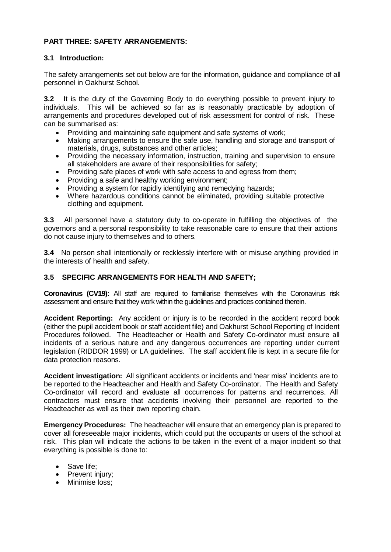### **PART THREE: SAFETY ARRANGEMENTS:**

#### **3.1 Introduction:**

The safety arrangements set out below are for the information, guidance and compliance of all personnel in Oakhurst School.

**3.2** It is the duty of the Governing Body to do everything possible to prevent injury to individuals. This will be achieved so far as is reasonably practicable by adoption of arrangements and procedures developed out of risk assessment for control of risk. These can be summarised as:

- Providing and maintaining safe equipment and safe systems of work;
- Making arrangements to ensure the safe use, handling and storage and transport of materials, drugs, substances and other articles;
- Providing the necessary information, instruction, training and supervision to ensure all stakeholders are aware of their responsibilities for safety;
- Providing safe places of work with safe access to and egress from them;
- Providing a safe and healthy working environment:
- Providing a system for rapidly identifying and remedying hazards;
- Where hazardous conditions cannot be eliminated, providing suitable protective clothing and equipment.

**3.3** All personnel have a statutory duty to co-operate in fulfilling the objectives of the governors and a personal responsibility to take reasonable care to ensure that their actions do not cause injury to themselves and to others.

**3.4** No person shall intentionally or recklessly interfere with or misuse anything provided in the interests of health and safety.

#### **3.5 SPECIFIC ARRANGEMENTS FOR HEALTH AND SAFETY;**

**Coronavirus (CV19):** All staff are required to familiarise themselves with the Coronavirus risk assessment and ensure that they work within the guidelines and practices contained therein.

**Accident Reporting:** Any accident or injury is to be recorded in the accident record book (either the pupil accident book or staff accident file) and Oakhurst School Reporting of Incident Procedures followed. The Headteacher or Health and Safety Co-ordinator must ensure all incidents of a serious nature and any dangerous occurrences are reporting under current legislation (RIDDOR 1999) or LA guidelines. The staff accident file is kept in a secure file for data protection reasons.

**Accident investigation:** All significant accidents or incidents and 'near miss' incidents are to be reported to the Headteacher and Health and Safety Co-ordinator. The Health and Safety Co-ordinator will record and evaluate all occurrences for patterns and recurrences. All contractors must ensure that accidents involving their personnel are reported to the Headteacher as well as their own reporting chain.

**Emergency Procedures:** The headteacher will ensure that an emergency plan is prepared to cover all foreseeable major incidents, which could put the occupants or users of the school at risk. This plan will indicate the actions to be taken in the event of a major incident so that everything is possible is done to:

- Save life;
- Prevent injury;
- Minimise loss;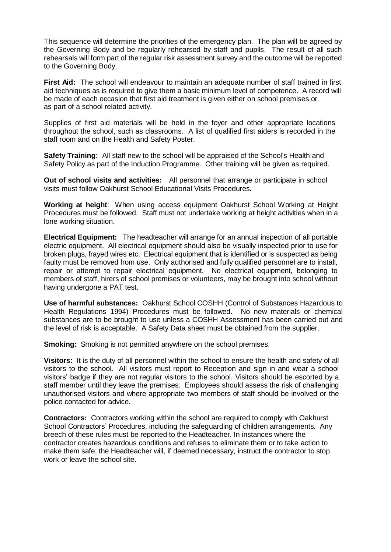This sequence will determine the priorities of the emergency plan. The plan will be agreed by the Governing Body and be regularly rehearsed by staff and pupils. The result of all such rehearsals will form part of the regular risk assessment survey and the outcome will be reported to the Governing Body.

**First Aid:** The school will endeavour to maintain an adequate number of staff trained in first aid techniques as is required to give them a basic minimum level of competence. A record will be made of each occasion that first aid treatment is given either on school premises or as part of a school related activity.

Supplies of first aid materials will be held in the foyer and other appropriate locations throughout the school, such as classrooms. A list of qualified first aiders is recorded in the staff room and on the Health and Safety Poster.

**Safety Training:** All staff new to the school will be appraised of the School's Health and Safety Policy as part of the Induction Programme. Other training will be given as required.

**Out of school visits and activities:** All personnel that arrange or participate in school visits must follow Oakhurst School Educational Visits Procedures.

**Working at height**: When using access equipment Oakhurst School Working at Height Procedures must be followed. Staff must not undertake working at height activities when in a lone working situation.

**Electrical Equipment:** The headteacher will arrange for an annual inspection of all portable electric equipment. All electrical equipment should also be visually inspected prior to use for broken plugs, frayed wires etc. Electrical equipment that is identified or is suspected as being faulty must be removed from use. Only authorised and fully qualified personnel are to install, repair or attempt to repair electrical equipment. No electrical equipment, belonging to members of staff, hirers of school premises or volunteers, may be brought into school without having undergone a PAT test.

**Use of harmful substances:** Oakhurst School COSHH (Control of Substances Hazardous to Health Regulations 1994) Procedures must be followed. No new materials or chemical substances are to be brought to use unless a COSHH Assessment has been carried out and the level of risk is acceptable. A Safety Data sheet must be obtained from the supplier.

**Smoking:** Smoking is not permitted anywhere on the school premises.

**Visitors:** It is the duty of all personnel within the school to ensure the health and safety of all visitors to the school. All visitors must report to Reception and sign in and wear a school visitors' badge if they are not regular visitors to the school. Visitors should be escorted by a staff member until they leave the premises. Employees should assess the risk of challenging unauthorised visitors and where appropriate two members of staff should be involved or the police contacted for advice.

**Contractors:** Contractors working within the school are required to comply with Oakhurst School Contractors' Procedures, including the safeguarding of children arrangements. Any breech of these rules must be reported to the Headteacher. In instances where the contractor creates hazardous conditions and refuses to eliminate them or to take action to make them safe, the Headteacher will, if deemed necessary, instruct the contractor to stop work or leave the school site.